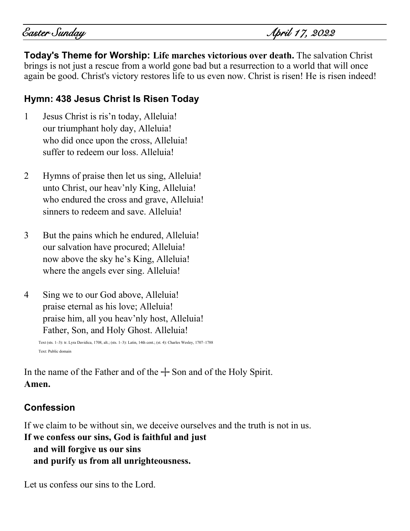Easter Sunday April 17, 2022

**Today's Theme for Worship: Life marches victorious over death.** The salvation Christ brings is not just a rescue from a world gone bad but a resurrection to a world that will once again be good. Christ's victory restores life to us even now. Christ is risen! He is risen indeed!

# **Hymn: 438 Jesus Christ Is Risen Today**

- 1 Jesus Christ is ris'n today, Alleluia! our triumphant holy day, Alleluia! who did once upon the cross, Alleluia! suffer to redeem our loss. Alleluia!
- 2 Hymns of praise then let us sing, Alleluia! unto Christ, our heav'nly King, Alleluia! who endured the cross and grave, Alleluia! sinners to redeem and save. Alleluia!
- 3 But the pains which he endured, Alleluia! our salvation have procured; Alleluia! now above the sky he's King, Alleluia! where the angels ever sing. Alleluia!
- 4 Sing we to our God above, Alleluia! praise eternal as his love; Alleluia! praise him, all you heav'nly host, Alleluia! Father, Son, and Holy Ghost. Alleluia!

Text (sts. 1–3): tr. Lyra Davidica, 1708, alt.; (sts. 1–3): Latin, 14th cent.; (st. 4): Charles Wesley, 1707–1788 Text: Public domain

In the name of the Father and of the  $+$  Son and of the Holy Spirit. **Amen.**

## **Confession**

If we claim to be without sin, we deceive ourselves and the truth is not in us.

# **If we confess our sins, God is faithful and just and will forgive us our sins and purify us from all unrighteousness.**

Let us confess our sins to the Lord.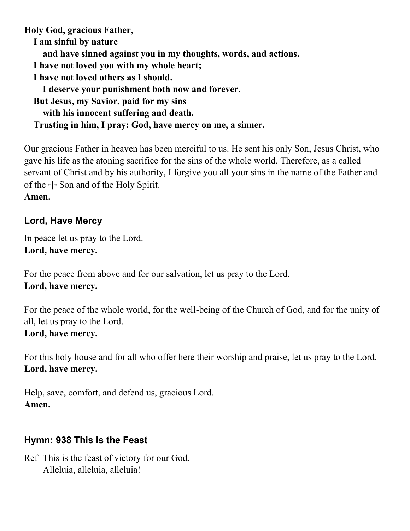**Holy God, gracious Father, I am sinful by nature and have sinned against you in my thoughts, words, and actions. I have not loved you with my whole heart; I have not loved others as I should. I deserve your punishment both now and forever. But Jesus, my Savior, paid for my sins with his innocent suffering and death. Trusting in him, I pray: God, have mercy on me, a sinner.**

Our gracious Father in heaven has been merciful to us. He sent his only Son, Jesus Christ, who gave his life as the atoning sacrifice for the sins of the whole world. Therefore, as a called servant of Christ and by his authority, I forgive you all your sins in the name of the Father and of the  $+$  Son and of the Holy Spirit.

### **Amen.**

## **Lord, Have Mercy**

In peace let us pray to the Lord. **Lord, have mercy.**

For the peace from above and for our salvation, let us pray to the Lord. **Lord, have mercy.**

For the peace of the whole world, for the well-being of the Church of God, and for the unity of all, let us pray to the Lord. **Lord, have mercy.**

# For this holy house and for all who offer here their worship and praise, let us pray to the Lord. **Lord, have mercy.**

Help, save, comfort, and defend us, gracious Lord. **Amen.**

## **Hymn: 938 This Is the Feast**

Ref This is the feast of victory for our God. Alleluia, alleluia, alleluia!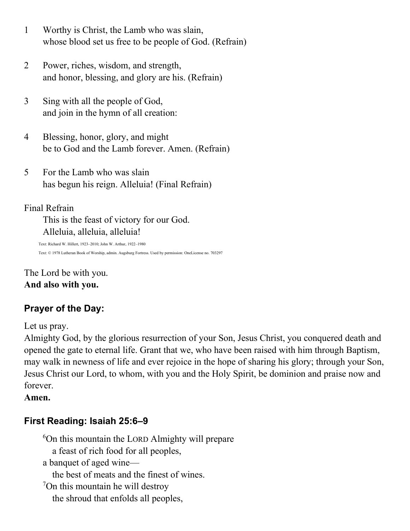- 1 Worthy is Christ, the Lamb who was slain, whose blood set us free to be people of God. (Refrain)
- 2 Power, riches, wisdom, and strength, and honor, blessing, and glory are his. (Refrain)
- 3 Sing with all the people of God, and join in the hymn of all creation:
- 4 Blessing, honor, glory, and might be to God and the Lamb forever. Amen. (Refrain)
- 5 For the Lamb who was slain has begun his reign. Alleluia! (Final Refrain)

### Final Refrain

This is the feast of victory for our God. Alleluia, alleluia, alleluia!

Text: Richard W. Hillert, 1923–2010; John W. Arthur, 1922–1980 Text: © 1978 Lutheran Book of Worship, admin. Augsburg Fortress. Used by permission: OneLicense no. 703297

The Lord be with you. **And also with you.**

## **Prayer of the Day:**

Let us pray.

Almighty God, by the glorious resurrection of your Son, Jesus Christ, you conquered death and opened the gate to eternal life. Grant that we, who have been raised with him through Baptism, may walk in newness of life and ever rejoice in the hope of sharing his glory; through your Son, Jesus Christ our Lord, to whom, with you and the Holy Spirit, be dominion and praise now and forever.

**Amen.**

## **First Reading: Isaiah 25:6–9**

<sup>6</sup>On this mountain the LORD Almighty will prepare a feast of rich food for all peoples, a banquet of aged wine the best of meats and the finest of wines. <sup>7</sup>On this mountain he will destroy the shroud that enfolds all peoples,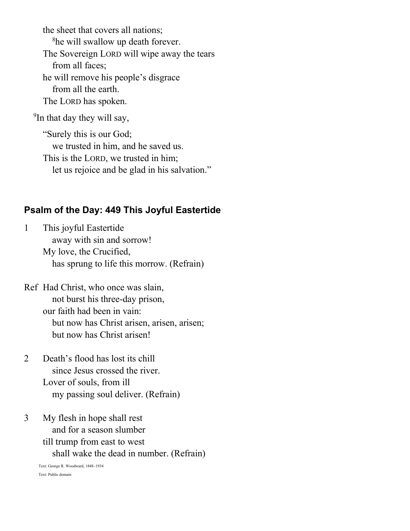the sheet that covers all nations; <sup>8</sup>he will swallow up death forever. The Sovereign LORD will wipe away the tears from all faces; he will remove his people's disgrace from all the earth. The LORD has spoken.

<sup>9</sup>In that day they will say,

"Surely this is our God; we trusted in him, and he saved us. This is the LORD, we trusted in him; let us rejoice and be glad in his salvation."

### **Psalm of the Day: 449 This Joyful Eastertide**

1 This joyful Eastertide away with sin and sorrow! My love, the Crucified, has sprung to life this morrow. (Refrain)

Ref Had Christ, who once was slain, not burst his three-day prison, our faith had been in vain: but now has Christ arisen, arisen, arisen; but now has Christ arisen!

- 2 Death's flood has lost its chill since Jesus crossed the river. Lover of souls, from ill my passing soul deliver. (Refrain)
- 3 My flesh in hope shall rest and for a season slumber till trump from east to west shall wake the dead in number. (Refrain)

Text: George R. Woodward, 1848–1934 Text: Public domain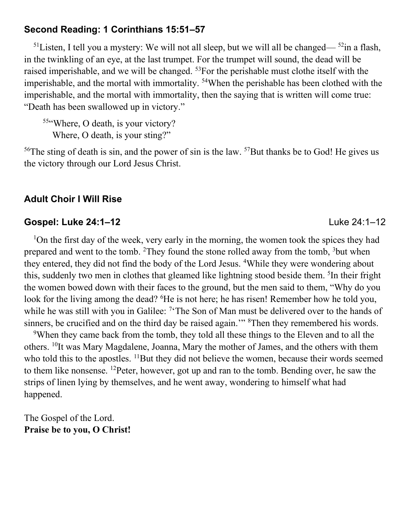### **Second Reading: 1 Corinthians 15:51–57**

<sup>51</sup>Listen, I tell you a mystery: We will not all sleep, but we will all be changed—  $52$ in a flash, in the twinkling of an eye, at the last trumpet. For the trumpet will sound, the dead will be raised imperishable, and we will be changed. <sup>53</sup>For the perishable must clothe itself with the imperishable, and the mortal with immortality. <sup>54</sup>When the perishable has been clothed with the imperishable, and the mortal with immortality, then the saying that is written will come true: "Death has been swallowed up in victory."

55"Where, O death, is your victory? Where, O death, is your sting?"

 $56$ The sting of death is sin, and the power of sin is the law.  $57$ But thanks be to God! He gives us the victory through our Lord Jesus Christ.

### **Adult Choir I Will Rise**

### **Gospel: Luke 24:1–12** Luke 24:1–12

<sup>1</sup>On the first day of the week, very early in the morning, the women took the spices they had prepared and went to the tomb. <sup>2</sup>They found the stone rolled away from the tomb,  $3$ but when they entered, they did not find the body of the Lord Jesus. <sup>4</sup>While they were wondering about this, suddenly two men in clothes that gleamed like lightning stood beside them. <sup>5</sup>In their fright the women bowed down with their faces to the ground, but the men said to them, "Why do you look for the living among the dead? <sup>6</sup>He is not here; he has risen! Remember how he told you, while he was still with you in Galilee: <sup>7</sup> The Son of Man must be delivered over to the hands of sinners, be crucified and on the third day be raised again."<sup>8</sup>Then they remembered his words.

<sup>9</sup>When they came back from the tomb, they told all these things to the Eleven and to all the others. <sup>10</sup>It was Mary Magdalene, Joanna, Mary the mother of James, and the others with them who told this to the apostles. <sup>11</sup>But they did not believe the women, because their words seemed to them like nonsense. <sup>12</sup>Peter, however, got up and ran to the tomb. Bending over, he saw the strips of linen lying by themselves, and he went away, wondering to himself what had happened.

The Gospel of the Lord. **Praise be to you, O Christ!**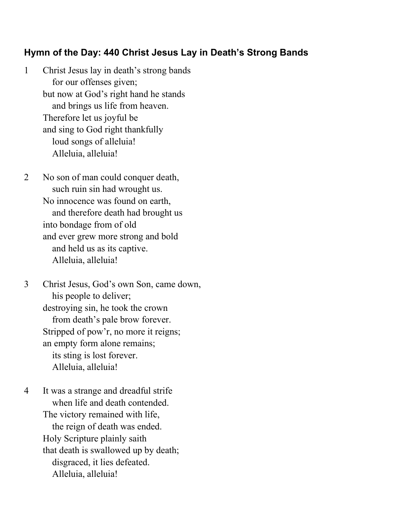### **Hymn of the Day: 440 Christ Jesus Lay in Death's Strong Bands**

- 1 Christ Jesus lay in death's strong bands for our offenses given; but now at God's right hand he stands and brings us life from heaven. Therefore let us joyful be and sing to God right thankfully loud songs of alleluia! Alleluia, alleluia!
- 2 No son of man could conquer death, such ruin sin had wrought us. No innocence was found on earth, and therefore death had brought us into bondage from of old and ever grew more strong and bold and held us as its captive. Alleluia, alleluia!
- 3 Christ Jesus, God's own Son, came down, his people to deliver; destroying sin, he took the crown from death's pale brow forever. Stripped of pow'r, no more it reigns; an empty form alone remains; its sting is lost forever. Alleluia, alleluia!
- 4 It was a strange and dreadful strife when life and death contended. The victory remained with life, the reign of death was ended. Holy Scripture plainly saith that death is swallowed up by death; disgraced, it lies defeated. Alleluia, alleluia!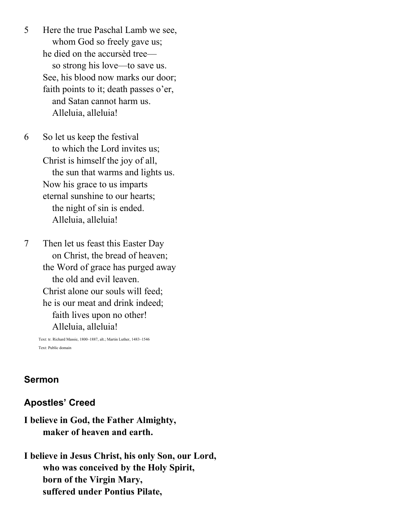5 Here the true Paschal Lamb we see, whom God so freely gave us; he died on the accursèd tree so strong his love—to save us. See, his blood now marks our door; faith points to it; death passes o'er, and Satan cannot harm us. Alleluia, alleluia!

6 So let us keep the festival to which the Lord invites us; Christ is himself the joy of all, the sun that warms and lights us. Now his grace to us imparts eternal sunshine to our hearts; the night of sin is ended. Alleluia, alleluia!

7 Then let us feast this Easter Day on Christ, the bread of heaven; the Word of grace has purged away the old and evil leaven. Christ alone our souls will feed; he is our meat and drink indeed; faith lives upon no other! Alleluia, alleluia!

Text: tr. Richard Massie, 1800–1887, alt.; Martin Luther, 1483–1546 Text: Public domain

### **Sermon**

### **Apostles' Creed**

## **I believe in God, the Father Almighty, maker of heaven and earth.**

**I believe in Jesus Christ, his only Son, our Lord, who was conceived by the Holy Spirit, born of the Virgin Mary, suffered under Pontius Pilate,**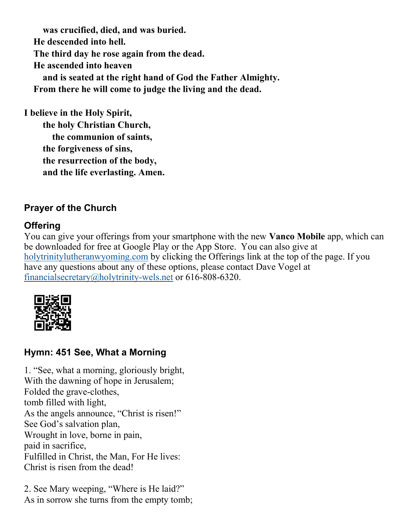**was crucified, died, and was buried. He descended into hell. The third day he rose again from the dead. He ascended into heaven and is seated at the right hand of God the Father Almighty. From there he will come to judge the living and the dead.**

**I believe in the Holy Spirit, the holy Christian Church, the communion of saints, the forgiveness of sins, the resurrection of the body, and the life everlasting. Amen.**

# **Prayer of the Church**

# **Offering**

You can give your offerings from your smartphone with the new **Vanco Mobile** app, which can be downloaded for free at Google Play or the App Store. You can also give at [holytrinitylutheranwyoming.com](http://holytrinitylutheranwyoming.com/) by clicking the Offerings link at the top of the page. If you have any questions about any of these options, please contact Dave Vogel at [financialsecretary@holytrinity-wels.net](mailto:financialsecretary@holytrinity-wels.net) or 616-808-6320.



## **Hymn: 451 See, What a Morning**

1. "See, what a morning, gloriously bright, With the dawning of hope in Jerusalem; Folded the grave-clothes, tomb filled with light, As the angels announce, "Christ is risen!" See God's salvation plan, Wrought in love, borne in pain, paid in sacrifice, Fulfilled in Christ, the Man, For He lives: Christ is risen from the dead!

2. See Mary weeping, "Where is He laid?" As in sorrow she turns from the empty tomb;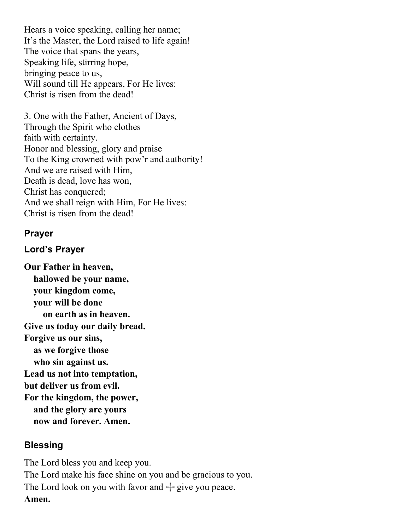Hears a voice speaking, calling her name; It's the Master, the Lord raised to life again! The voice that spans the years, Speaking life, stirring hope, bringing peace to us, Will sound till He appears, For He lives: Christ is risen from the dead!

3. One with the Father, Ancient of Days, Through the Spirit who clothes faith with certainty. Honor and blessing, glory and praise To the King crowned with pow'r and authority! And we are raised with Him, Death is dead, love has won, Christ has conquered; And we shall reign with Him, For He lives: Christ is risen from the dead!

### **Prayer**

## **Lord's Prayer**

**Our Father in heaven, hallowed be your name, your kingdom come, your will be done on earth as in heaven. Give us today our daily bread. Forgive us our sins, as we forgive those who sin against us. Lead us not into temptation, but deliver us from evil. For the kingdom, the power, and the glory are yours now and forever. Amen.**

## **Blessing**

The Lord bless you and keep you. The Lord make his face shine on you and be gracious to you. The Lord look on you with favor and  $+$  give you peace. **Amen.**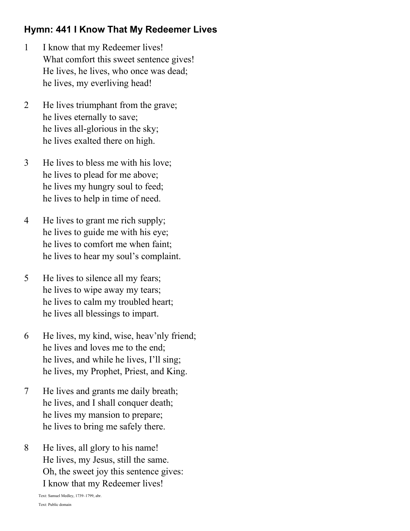# **Hymn: 441 I Know That My Redeemer Lives**

- 1 I know that my Redeemer lives! What comfort this sweet sentence gives! He lives, he lives, who once was dead; he lives, my everliving head!
- 2 He lives triumphant from the grave; he lives eternally to save; he lives all-glorious in the sky; he lives exalted there on high.
- 3 He lives to bless me with his love; he lives to plead for me above; he lives my hungry soul to feed; he lives to help in time of need.
- 4 He lives to grant me rich supply; he lives to guide me with his eye; he lives to comfort me when faint; he lives to hear my soul's complaint.
- 5 He lives to silence all my fears; he lives to wipe away my tears; he lives to calm my troubled heart; he lives all blessings to impart.
- 6 He lives, my kind, wise, heav'nly friend; he lives and loves me to the end; he lives, and while he lives, I'll sing; he lives, my Prophet, Priest, and King.
- 7 He lives and grants me daily breath; he lives, and I shall conquer death; he lives my mansion to prepare; he lives to bring me safely there.
- 8 He lives, all glory to his name! He lives, my Jesus, still the same. Oh, the sweet joy this sentence gives: I know that my Redeemer lives!

Text: Samuel Medley, 1739–1799, abr. Text: Public domain